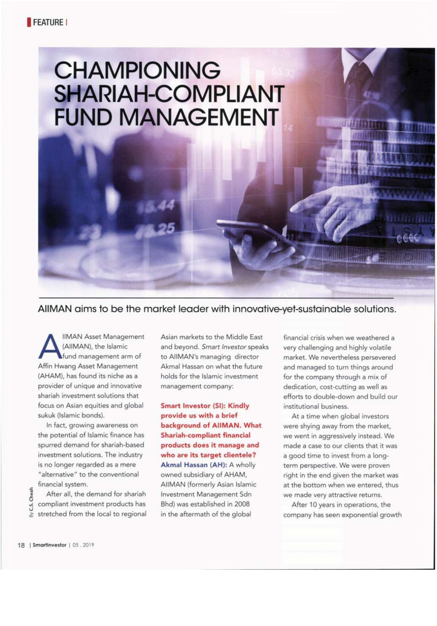# **CHAMPIONING SHARIAH-COMPLIANT FUND MANAGEMENT**

AllMAN aims to be the market leader with innovative-yet-sustainable solutions.

**IIMAN Asset Management** (AllMAN), the Islamic fund management arm of Affin Hwang Asset Management (AHAM), has found its niche as a provider of unique and innovative shariah investment solutions that focus on Asian equities and global sukuk (Islamic bonds).

In fact, growing awareness on the potential of Islamic finance has spurred demand for shariah-based investment solutions. The industry is no longer regarded as a mere "alternative" to the conventional financial system.

After all, the demand for shariah compliant investment products has stretched from the local to regional Asian markets to the Middle East and beyond. Smart Investor speaks to AllMAN's managing director Akmal Hassan on what the future holds for the Islamic investment management company:

**Smart Investor (SI): Kindly** provide us with a brief background of AllMAN. What **Shariah-compliant financial** products does it manage and who are its target clientele? Akmal Hassan (AH): A wholly owned subsidiary of AHAM, AIIMAN (formerly Asian Islamic Investment Management Sdn Bhd) was established in 2008 in the aftermath of the global

financial crisis when we weathered a very challenging and highly volatile market. We nevertheless persevered and managed to turn things around for the company through a mix of dedication, cost-cutting as well as efforts to double-down and build our institutional business.

At a time when global investors were shying away from the market, we went in aggressively instead. We made a case to our clients that it was a good time to invest from a longterm perspective. We were proven right in the end given the market was at the bottom when we entered, thus we made very attractive returns.

After 10 years in operations, the company has seen exponential growth

C.S. Cheah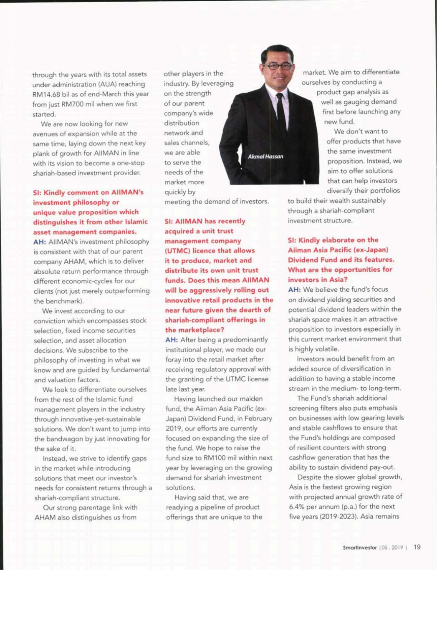through the years with its total assets under administration (AUA) reaching RM14.68 bil as of end-March this year from just RM700 mil when we first started.

We are now looking for new avenues of expansion while at the same time, laying down the next key plank of growth for AllMAN in line with its vision to become a one-stop shariah-based investment provider.

## **SI: Kindly comment on AIIMAN's** investment philosophy or unique value proposition which distinguishes it from other Islamic asset management companies.

AH: AllMAN's investment philosophy is consistent with that of our parent company AHAM, which is to deliver absolute return performance through different economic-cycles for our clients (not just merely outperforming the benchmark).

We invest according to our conviction which encompasses stock selection, fixed income securities selection, and asset allocation decisions. We subscribe to the philosophy of investing in what we know and are guided by fundamental and valuation factors.

We look to differentiate ourselves from the rest of the Islamic fund management players in the industry through innovative-yet-sustainable solutions. We don't want to jump into the bandwagon by just innovating for the sake of it.

Instead, we strive to identify gaps in the market while introducing solutions that meet our investor's needs for consistent returns through a shariah-compliant structure.

Our strong parentage link with AHAM also distinguishes us from

other players in the industry. By leveraging on the strength of our parent company's wide distribution network and sales channels. we are able to serve the needs of the market more quickly by

meeting the demand of investors.

**Akmal Hassan** 

**SI: AIIMAN has recently** acquired a unit trust management company (UTMC) licence that allows it to produce, market and distribute its own unit trust funds. Does this mean AIIMAN will be aggressively rolling out innovative retail products in the near future given the dearth of shariah-compliant offerings in the marketplace?

AH: After being a predominantly institutional player, we made our foray into the retail market after receiving regulatory approval with the granting of the UTMC license late last year.

Having launched our maiden fund, the Aiiman Asia Pacific (ex-Japan) Dividend Fund, in February 2019, our efforts are currently focused on expanding the size of the fund. We hope to raise the fund size to RM100 mil within next year by leveraging on the growing demand for shariah investment solutions.

Having said that, we are readying a pipeline of product offerings that are unique to the

market. We aim to differentiate ourselves by conducting a

product gap analysis as well as gauging demand first before launching any new fund.

> We don't want to offer products that have the same investment proposition, Instead, we aim to offer solutions that can help investors diversify their portfolios

to build their wealth sustainably through a shariah-compliant investment structure.

#### SI: Kindly elaborate on the Aliman Asia Pacific (ex-Japan) Dividend Fund and its features. What are the opportunities for investors in Asia?

AH: We believe the fund's focus on dividend yielding securities and potential dividend leaders within the shariah space makes it an attractive proposition to investors especially in this current market environment that is highly volatile.

Investors would benefit from an added source of diversification in addition to having a stable income stream in the medium- to long-term.

The Fund's shariah additional screening filters also puts emphasis on businesses with low gearing levels and stable cashflows to ensure that the Fund's holdings are composed of resilient counters with strong cashflow generation that has the ability to sustain dividend pay-out.

Despite the slower global growth, Asia is the fastest growing region with projected annual growth rate of 6.4% per annum (p.a.) for the next five years (2019-2023). Asia remains